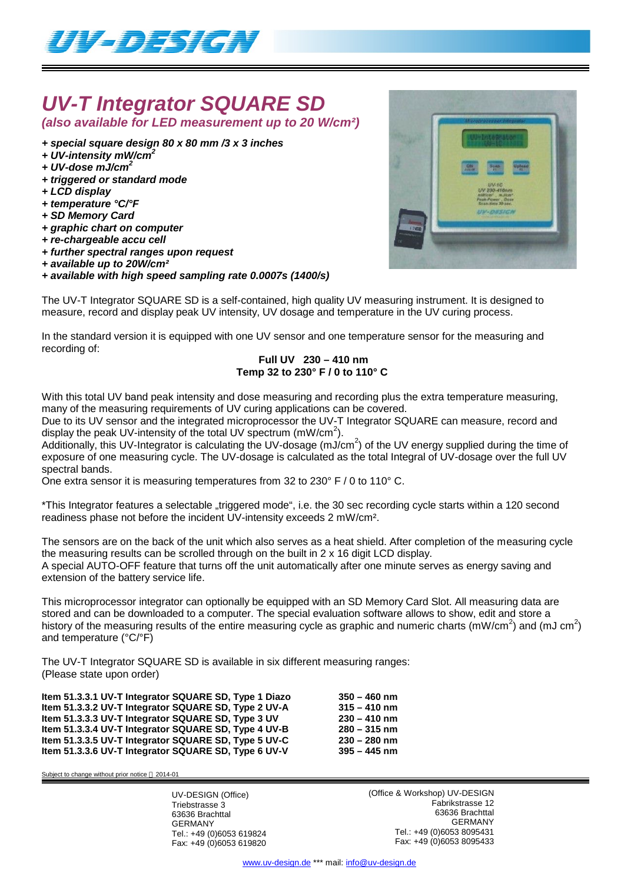

# *UV-T Integrator SQUARE SD*

*(also available for LED measurement up to 20 W/cm²)*

- *+ special square design 80 x 80 mm /3 x 3 inches*
- *+ UV-intensity mW/cm<sup>2</sup>*
- *+ UV-dose mJ/cm<sup>2</sup>*
- *+ triggered or standard mode*
- *+ LCD display*
- *+ temperature °C/°F*
- *+ SD Memory Card*
- *+ graphic chart on computer*
- *+ re-chargeable accu cell*
- *+ further spectral ranges upon request*
- *+ available up to 20W/cm²*

### *+ available with high speed sampling rate 0.0007s (1400/s)*

The UV-T Integrator SQUARE SD is a self-contained, high quality UV measuring instrument. It is designed to measure, record and display peak UV intensity, UV dosage and temperature in the UV curing process.

In the standard version it is equipped with one UV sensor and one temperature sensor for the measuring and recording of:

## **Full UV 230 – 410 nm Temp 32 to 230° F / 0 to 110° C**

With this total UV band peak intensity and dose measuring and recording plus the extra temperature measuring, many of the measuring requirements of UV curing applications can be covered.

Due to its UV sensor and the integrated microprocessor the UV-T Integrator SQUARE can measure, record and display the peak UV-intensity of the total UV spectrum (mW/cm<sup>2</sup>).

Additionally, this UV-Integrator is calculating the UV-dosage (mJ/cm<sup>2</sup>) of the UV energy supplied during the time of exposure of one measuring cycle. The UV-dosage is calculated as the total Integral of UV-dosage over the full UV spectral bands.

One extra sensor it is measuring temperatures from 32 to 230° F / 0 to 110° C.

\*This Integrator features a selectable "triggered mode", i.e. the 30 sec recording cycle starts within a 120 second readiness phase not before the incident UV-intensity exceeds 2 mW/cm².

The sensors are on the back of the unit which also serves as a heat shield. After completion of the measuring cycle the measuring results can be scrolled through on the built in  $2 \times 16$  digit LCD display. A special AUTO-OFF feature that turns off the unit automatically after one minute serves as energy saving and extension of the battery service life.

This microprocessor integrator can optionally be equipped with an SD Memory Card Slot. All measuring data are stored and can be downloaded to a computer. The special evaluation software allows to show, edit and store a history of the measuring results of the entire measuring cycle as graphic and numeric charts (mW/cm<sup>2</sup>) and (mJ cm<sup>2</sup>) and temperature (°C/°F)

The UV-T Integrator SQUARE SD is available in six different measuring ranges: (Please state upon order)

**Item 51.3.3.1 UV-T Integrator SQUARE SD, Type 1 Diazo 350 – 460 nm Item 51.3.3.2 UV-T Integrator SQUARE SD, Type 2 UV-A 315 – 410 nm Item 51.3.3.3 UV-T Integrator SQUARE SD, Type 3 UV 230 – 410 nm Item 51.3.3.4 UV-T Integrator SQUARE SD, Type 4 UV-B 280 – 315 nm Item 51.3.3.5 UV-T Integrator SQUARE SD, Type 5 UV-C 230 – 280 nm** Item 51.3.3.6 UV-T Integrator SQUARE SD, Type 6 UV-V

Subject to change without prior notice  $@$  2014-01

UV-DESIGN (Office) Triebstrasse 3 63636 Brachttal GERMANY Tel.: +49 (0)6053 619824 Fax: +49 (0)6053 619820 (Office & Workshop) UV-DESIGN Fabrikstrasse 12 63636 Brachttal GERMANY Tel.: +49 (0)6053 8095431 Fax: +49 (0)6053 8095433

www.uv-design.de \*\*\* mail: info@uv-design.de